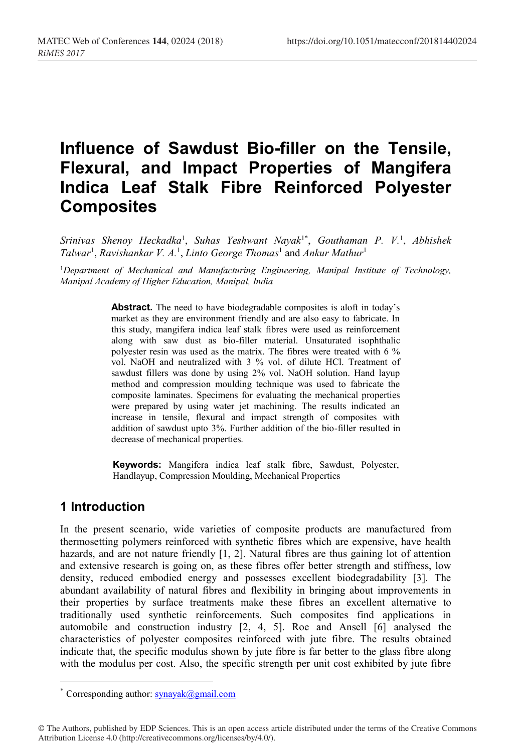# **Influence of Sawdust Bio-filler on the Tensile, Flexural, and Impact Properties of Mangifera Indica Leaf Stalk Fibre Reinforced Polyester Composites**

*Srinivas Shenoy Heckadka*<sup>1</sup> , *Suhas Yeshwant Nayak*1\* , *Gouthaman P. V.* 1 , *Abhishek Talwar*<sup>1</sup> , *Ravishankar V. A.* 1 , *Linto George Thomas*<sup>1</sup> and *Ankur Mathur*<sup>1</sup>

<sup>1</sup>*Department of Mechanical and Manufacturing Engineering, Manipal Institute of Technology, Manipal Academy of Higher Education, Manipal, India*

> Abstract. The need to have biodegradable composites is aloft in today's market as they are environment friendly and are also easy to fabricate. In this study, mangifera indica leaf stalk fibres were used as reinforcement along with saw dust as bio-filler material. Unsaturated isophthalic polyester resin was used as the matrix. The fibres were treated with 6 % vol. NaOH and neutralized with 3 % vol. of dilute HCl. Treatment of sawdust fillers was done by using 2% vol. NaOH solution. Hand layup method and compression moulding technique was used to fabricate the composite laminates. Specimens for evaluating the mechanical properties were prepared by using water jet machining. The results indicated an increase in tensile, flexural and impact strength of composites with addition of sawdust upto 3%. Further addition of the bio-filler resulted in decrease of mechanical properties.

> **Keywords:** Mangifera indica leaf stalk fibre, Sawdust, Polyester, Handlayup, Compression Moulding, Mechanical Properties

# **1 Introduction**

In the present scenario, wide varieties of composite products are manufactured from thermosetting polymers reinforced with synthetic fibres which are expensive, have health hazards, and are not nature friendly [1, 2]. Natural fibres are thus gaining lot of attention and extensive research is going on, as these fibres offer better strength and stiffness, low density, reduced embodied energy and possesses excellent biodegradability [3]. The abundant availability of natural fibres and flexibility in bringing about improvements in their properties by surface treatments make these fibres an excellent alternative to traditionally used synthetic reinforcements. Such composites find applications in automobile and construction industry [2, 4, 5]. Roe and Ansell [6] analysed the characteristics of polyester composites reinforced with jute fibre. The results obtained indicate that, the specific modulus shown by jute fibre is far better to the glass fibre along with the modulus per cost. Also, the specific strength per unit cost exhibited by jute fibre

<sup>\*</sup> Corresponding author:  $synayak@gmail.com$ 

<sup>©</sup> The Authors, published by EDP Sciences. This is an open access article distributed under the terms of the Creative Commons Attribution License 4.0 (http://creativecommons.org/licenses/by/4.0/).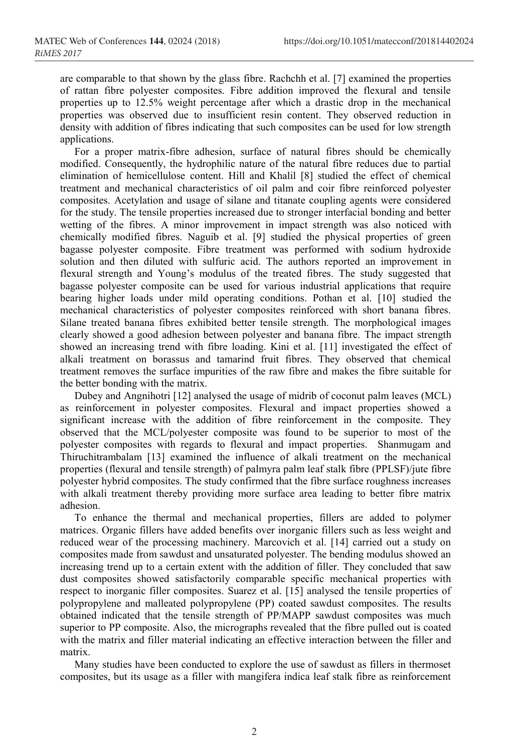are comparable to that shown by the glass fibre. Rachchh et al. [7] examined the properties of rattan fibre polyester composites. Fibre addition improved the flexural and tensile properties up to 12.5% weight percentage after which a drastic drop in the mechanical properties was observed due to insufficient resin content. They observed reduction in density with addition of fibres indicating that such composites can be used for low strength applications.

For a proper matrix-fibre adhesion, surface of natural fibres should be chemically modified. Consequently, the hydrophilic nature of the natural fibre reduces due to partial elimination of hemicellulose content. Hill and Khalil [8] studied the effect of chemical treatment and mechanical characteristics of oil palm and coir fibre reinforced polyester composites. Acetylation and usage of silane and titanate coupling agents were considered for the study. The tensile properties increased due to stronger interfacial bonding and better wetting of the fibres. A minor improvement in impact strength was also noticed with chemically modified fibres. Naguib et al. [9] studied the physical properties of green bagasse polyester composite. Fibre treatment was performed with sodium hydroxide solution and then diluted with sulfuric acid. The authors reported an improvement in flexural strength and Young's modulus of the treated fibres. The study suggested that bagasse polyester composite can be used for various industrial applications that require bearing higher loads under mild operating conditions. Pothan et al. [10] studied the mechanical characteristics of polyester composites reinforced with short banana fibres. Silane treated banana fibres exhibited better tensile strength. The morphological images clearly showed a good adhesion between polyester and banana fibre. The impact strength showed an increasing trend with fibre loading. Kini et al. [11] investigated the effect of alkali treatment on borassus and tamarind fruit fibres. They observed that chemical treatment removes the surface impurities of the raw fibre and makes the fibre suitable for the better bonding with the matrix.

Dubey and Angnihotri [12] analysed the usage of midrib of coconut palm leaves (MCL) as reinforcement in polyester composites. Flexural and impact properties showed a significant increase with the addition of fibre reinforcement in the composite. They observed that the MCL/polyester composite was found to be superior to most of the polyester composites with regards to flexural and impact properties. Shanmugam and Thiruchitrambalam [13] examined the influence of alkali treatment on the mechanical properties (flexural and tensile strength) of palmyra palm leaf stalk fibre (PPLSF)/jute fibre polyester hybrid composites. The study confirmed that the fibre surface roughness increases with alkali treatment thereby providing more surface area leading to better fibre matrix adhesion.

To enhance the thermal and mechanical properties, fillers are added to polymer matrices. Organic fillers have added benefits over inorganic fillers such as less weight and reduced wear of the processing machinery. Marcovich et al. [14] carried out a study on composites made from sawdust and unsaturated polyester. The bending modulus showed an increasing trend up to a certain extent with the addition of filler. They concluded that saw dust composites showed satisfactorily comparable specific mechanical properties with respect to inorganic filler composites. Suarez et al. [15] analysed the tensile properties of polypropylene and malleated polypropylene (PP) coated sawdust composites. The results obtained indicated that the tensile strength of PP/MAPP sawdust composites was much superior to PP composite. Also, the micrographs revealed that the fibre pulled out is coated with the matrix and filler material indicating an effective interaction between the filler and matrix.

Many studies have been conducted to explore the use of sawdust as fillers in thermoset composites, but its usage as a filler with mangifera indica leaf stalk fibre as reinforcement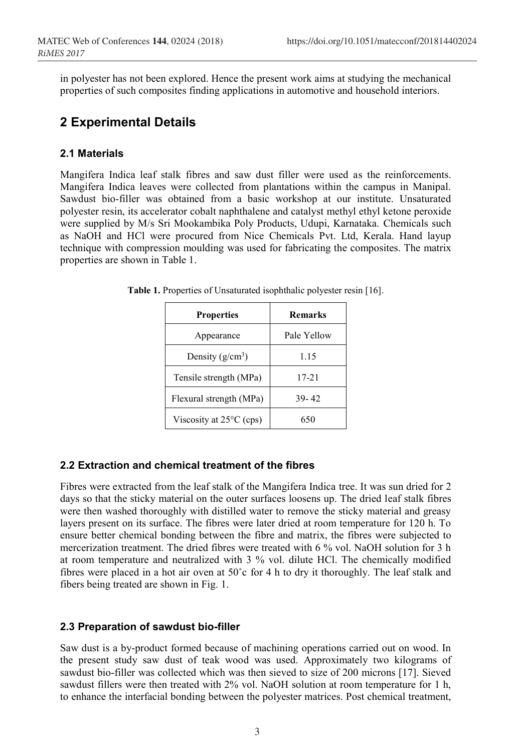in polyester has not been explored. Hence the present work aims at studying the mechanical properties of such composites finding applications in automotive and household interiors.

### **2 Experimental Details**

#### **2.1 Materials**

Mangifera Indica leaf stalk fibres and saw dust filler were used as the reinforcements. Mangifera Indica leaves were collected from plantations within the campus in Manipal. Sawdust bio-filler was obtained from a basic workshop at our institute. Unsaturated polyester resin, its accelerator cobalt naphthalene and catalyst methyl ethyl ketone peroxide were supplied by M/s Sri Mookambika Poly Products, Udupi, Karnataka. Chemicals such as NaOH and HCl were procured from Nice Chemicals Pvt. Ltd, Kerala. Hand layup technique with compression moulding was used for fabricating the composites. The matrix properties are shown in Table 1.

| <b>Properties</b>       | Remarks     |  |  |
|-------------------------|-------------|--|--|
| Appearance              | Pale Yellow |  |  |
| Density $(g/cm^3)$      | 1.15        |  |  |
| Tensile strength (MPa)  | $17 - 21$   |  |  |
| Flexural strength (MPa) | $39 - 42$   |  |  |
| Viscosity at 25°C (cps) | 650         |  |  |

**Table 1.** Properties of Unsaturated isophthalic polyester resin [16].

### **2.2 Extraction and chemical treatment of the fibres**

Fibres were extracted from the leaf stalk of the Mangifera Indica tree. It was sun dried for 2 days so that the sticky material on the outer surfaces loosens up. The dried leaf stalk fibres were then washed thoroughly with distilled water to remove the sticky material and greasy layers present on its surface. The fibres were later dried at room temperature for 120 h. To ensure better chemical bonding between the fibre and matrix, the fibres were subjected to mercerization treatment. The dried fibres were treated with 6 % vol. NaOH solution for 3 h at room temperature and neutralized with 3 % vol. dilute HCl. The chemically modified fibres were placed in a hot air oven at 50˚c for 4 h to dry it thoroughly. The leaf stalk and fibers being treated are shown in Fig. 1.

#### **2.3 Preparation of sawdust bio-filler**

Saw dust is a by-product formed because of machining operations carried out on wood. In the present study saw dust of teak wood was used. Approximately two kilograms of sawdust bio-filler was collected which was then sieved to size of 200 microns [17]. Sieved sawdust fillers were then treated with 2% vol. NaOH solution at room temperature for 1 h, to enhance the interfacial bonding between the polyester matrices. Post chemical treatment,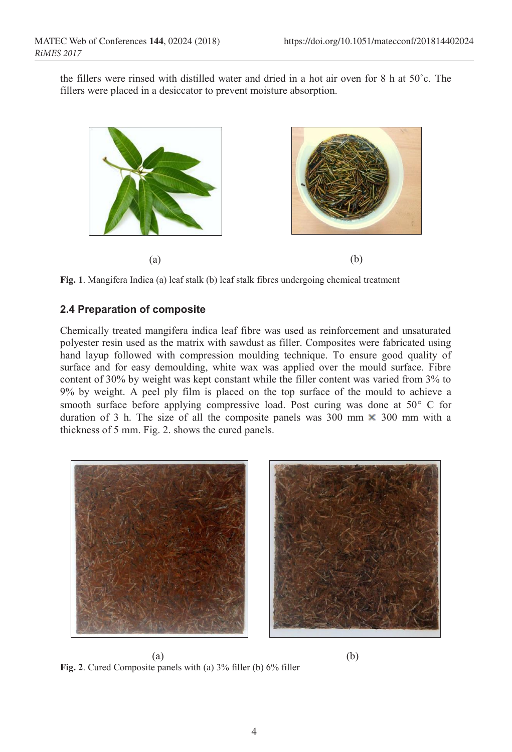the fillers were rinsed with distilled water and dried in a hot air oven for 8 h at 50˚c. The fillers were placed in a desiccator to prevent moisture absorption.



**Fig. 1**. Mangifera Indica (a) leaf stalk (b) leaf stalk fibres undergoing chemical treatment

#### **2.4 Preparation of composite**

Chemically treated mangifera indica leaf fibre was used as reinforcement and unsaturated polyester resin used as the matrix with sawdust as filler. Composites were fabricated using hand layup followed with compression moulding technique. To ensure good quality of surface and for easy demoulding, white wax was applied over the mould surface. Fibre content of 30% by weight was kept constant while the filler content was varied from 3% to 9% by weight. A peel ply film is placed on the top surface of the mould to achieve a smooth surface before applying compressive load. Post curing was done at  $50^{\circ}$  C for duration of 3 h. The size of all the composite panels was 300 mm  $\times$  300 mm with a thickness of 5 mm. Fig. 2. shows the cured panels.



 $(a)$  (b) **Fig. 2**. Cured Composite panels with (a) 3% filler (b) 6% filler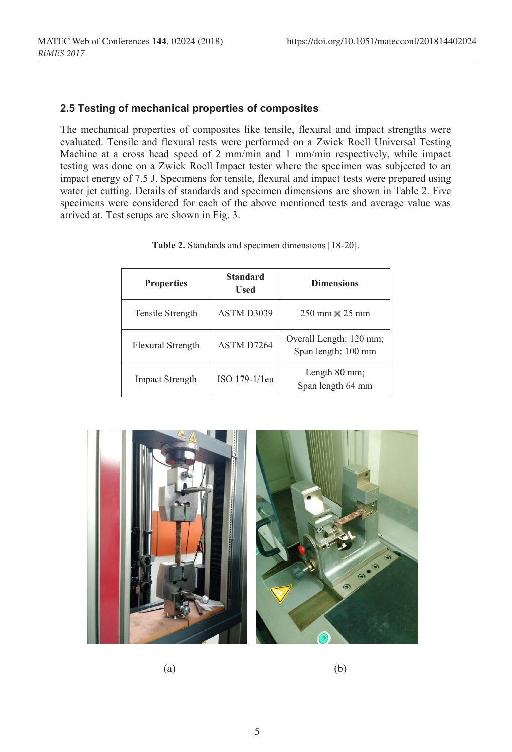#### **2.5 Testing of mechanical properties of composites**

The mechanical properties of composites like tensile, flexural and impact strengths were evaluated. Tensile and flexural tests were performed on a Zwick Roell Universal Testing Machine at a cross head speed of 2 mm/min and 1 mm/min respectively, while impact testing was done on a Zwick Roell Impact tester where the specimen was subjected to an impact energy of 7.5 J. Specimens for tensile, flexural and impact tests were prepared using water jet cutting. Details of standards and specimen dimensions are shown in Table 2. Five specimens were considered for each of the above mentioned tests and average value was arrived at. Test setups are shown in Fig. 3.

| <b>Properties</b> | <b>Standard</b><br><b>Used</b> | <b>Dimensions</b>                              |  |
|-------------------|--------------------------------|------------------------------------------------|--|
| Tensile Strength  | ASTM D3039                     | $250 \text{ mm} \times 25 \text{ mm}$          |  |
| Flexural Strength | ASTM D7264                     | Overall Length: 120 mm;<br>Span length: 100 mm |  |
| Impact Strength   | ISO 179-1/1eu                  | Length 80 mm;<br>Span length 64 mm             |  |

|  | Table 2. Standards and specimen dimensions [18-20]. |  |  |  |  |  |  |
|--|-----------------------------------------------------|--|--|--|--|--|--|
|--|-----------------------------------------------------|--|--|--|--|--|--|





 $(a)$  (b)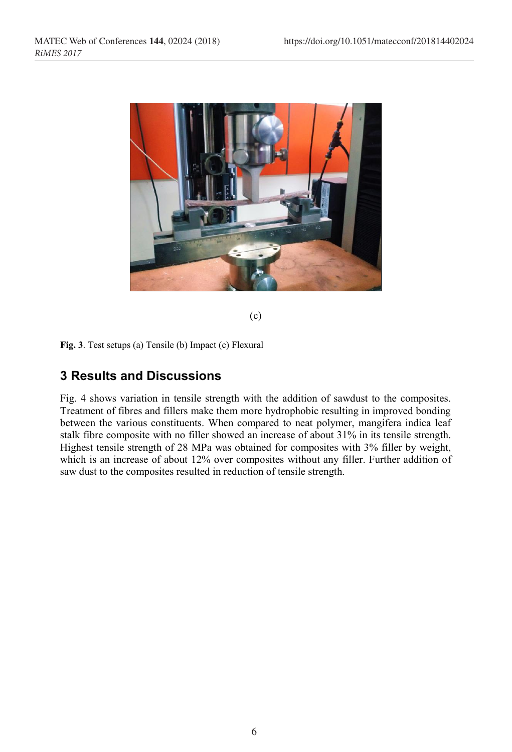

(c)

**Fig. 3**. Test setups (a) Tensile (b) Impact (c) Flexural

# **3 Results and Discussions**

Fig. 4 shows variation in tensile strength with the addition of sawdust to the composites. Treatment of fibres and fillers make them more hydrophobic resulting in improved bonding between the various constituents. When compared to neat polymer, mangifera indica leaf stalk fibre composite with no filler showed an increase of about 31% in its tensile strength. Highest tensile strength of 28 MPa was obtained for composites with 3% filler by weight, which is an increase of about 12% over composites without any filler. Further addition of saw dust to the composites resulted in reduction of tensile strength.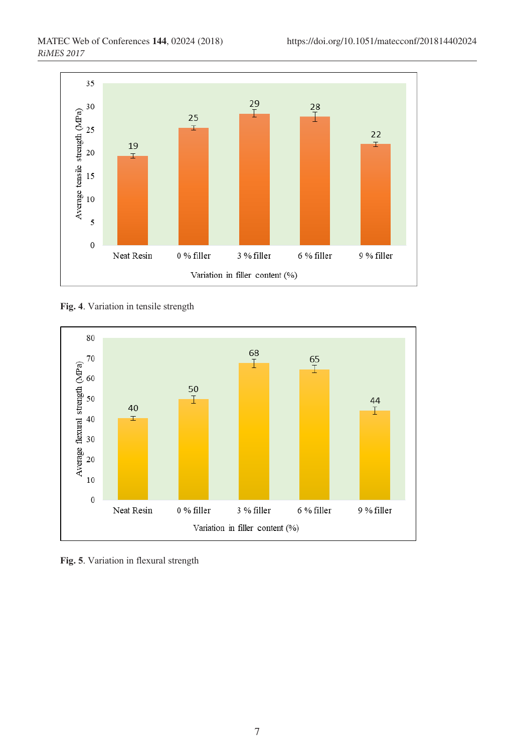

**Fig. 4**. Variation in tensile strength



**Fig. 5**. Variation in flexural strength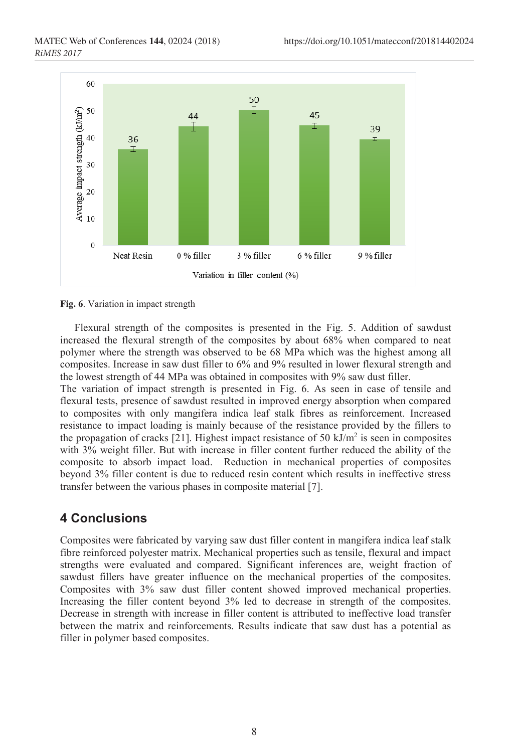

**Fig. 6**. Variation in impact strength

Flexural strength of the composites is presented in the Fig. 5. Addition of sawdust increased the flexural strength of the composites by about 68% when compared to neat polymer where the strength was observed to be 68 MPa which was the highest among all composites. Increase in saw dust filler to 6% and 9% resulted in lower flexural strength and the lowest strength of 44 MPa was obtained in composites with 9% saw dust filler.

The variation of impact strength is presented in Fig. 6. As seen in case of tensile and flexural tests, presence of sawdust resulted in improved energy absorption when compared to composites with only mangifera indica leaf stalk fibres as reinforcement. Increased resistance to impact loading is mainly because of the resistance provided by the fillers to the propagation of cracks [21]. Highest impact resistance of 50  $kJ/m<sup>2</sup>$  is seen in composites with 3% weight filler. But with increase in filler content further reduced the ability of the composite to absorb impact load. Reduction in mechanical properties of composites beyond 3% filler content is due to reduced resin content which results in ineffective stress transfer between the various phases in composite material [7].

# **4 Conclusions**

Composites were fabricated by varying saw dust filler content in mangifera indica leaf stalk fibre reinforced polyester matrix. Mechanical properties such as tensile, flexural and impact strengths were evaluated and compared. Significant inferences are, weight fraction of sawdust fillers have greater influence on the mechanical properties of the composites. Composites with 3% saw dust filler content showed improved mechanical properties. Increasing the filler content beyond 3% led to decrease in strength of the composites. Decrease in strength with increase in filler content is attributed to ineffective load transfer between the matrix and reinforcements. Results indicate that saw dust has a potential as filler in polymer based composites.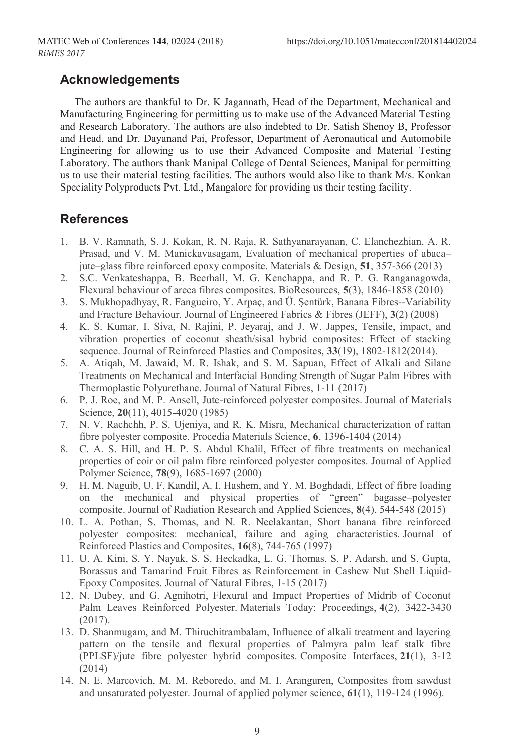### **Acknowledgements**

The authors are thankful to Dr. K Jagannath, Head of the Department, Mechanical and Manufacturing Engineering for permitting us to make use of the Advanced Material Testing and Research Laboratory. The authors are also indebted to Dr. Satish Shenoy B, Professor and Head, and Dr. Dayanand Pai, Professor, Department of Aeronautical and Automobile Engineering for allowing us to use their Advanced Composite and Material Testing Laboratory. The authors thank Manipal College of Dental Sciences, Manipal for permitting us to use their material testing facilities. The authors would also like to thank M/s. Konkan Speciality Polyproducts Pvt. Ltd., Mangalore for providing us their testing facility.

### **References**

- 1. B. V. Ramnath, S. J. Kokan, R. N. Raja, R. Sathyanarayanan, C. Elanchezhian, A. R. Prasad, and V. M. Manickavasagam, Evaluation of mechanical properties of abaca– jute–glass fibre reinforced epoxy composite. Materials & Design, **51**, 357-366 (2013)
- 2. S.C. Venkateshappa, B. Beerhall, M. G. Kenchappa, and R. P. G. Ranganagowda, Flexural behaviour of areca fibres composites. BioResources, **5**(3), 1846-1858 (2010)
- 3. S. Mukhopadhyay, R. Fangueiro, Y. Arpaç, and Ü. Şentürk, Banana Fibres--Variability and Fracture Behaviour. Journal of Engineered Fabrics & Fibres (JEFF), **3**(2) (2008)
- 4. K. S. Kumar, I. Siva, N. Rajini, P. Jeyaraj, and J. W. Jappes, Tensile, impact, and vibration properties of coconut sheath/sisal hybrid composites: Effect of stacking sequence. Journal of Reinforced Plastics and Composites, **33**(19), 1802-1812(2014).
- 5. A. Atiqah, M. Jawaid, M. R. Ishak, and S. M. Sapuan, Effect of Alkali and Silane Treatments on Mechanical and Interfacial Bonding Strength of Sugar Palm Fibres with Thermoplastic Polyurethane. Journal of Natural Fibres, 1-11 (2017)
- 6. P. J. Roe, and M. P. Ansell, Jute-reinforced polyester composites. Journal of Materials Science, **20**(11), 4015-4020 (1985)
- 7. N. V. Rachchh, P. S. Ujeniya, and R. K. Misra, Mechanical characterization of rattan fibre polyester composite. Procedia Materials Science, **6**, 1396-1404 (2014)
- 8. C. A. S. Hill, and H. P. S. Abdul Khalil, Effect of fibre treatments on mechanical properties of coir or oil palm fibre reinforced polyester composites. Journal of Applied Polymer Science, **78**(9), 1685-1697 (2000)
- 9. H. M. Naguib, U. F. Kandil, A. I. Hashem, and Y. M. Boghdadi, Effect of fibre loading on the mechanical and physical properties of "green" bagasse–polyester composite. Journal of Radiation Research and Applied Sciences, **8**(4), 544-548 (2015)
- 10. L. A. Pothan, S. Thomas, and N. R. Neelakantan, Short banana fibre reinforced polyester composites: mechanical, failure and aging characteristics. Journal of Reinforced Plastics and Composites, **16**(8), 744-765 (1997)
- 11. U. A. Kini, S. Y. Nayak, S. S. Heckadka, L. G. Thomas, S. P. Adarsh, and S. Gupta, Borassus and Tamarind Fruit Fibres as Reinforcement in Cashew Nut Shell Liquid-Epoxy Composites. Journal of Natural Fibres, 1-15 (2017)
- 12. N. Dubey, and G. Agnihotri, Flexural and Impact Properties of Midrib of Coconut Palm Leaves Reinforced Polyester. Materials Today: Proceedings, **4**(2), 3422-3430 (2017).
- 13. D. Shanmugam, and M. Thiruchitrambalam, Influence of alkali treatment and layering pattern on the tensile and flexural properties of Palmyra palm leaf stalk fibre (PPLSF)/jute fibre polyester hybrid composites. Composite Interfaces, **21**(1), 3-12 (2014)
- 14. N. E. Marcovich, M. M. Reboredo, and M. I. Aranguren, Composites from sawdust and unsaturated polyester. Journal of applied polymer science, **61**(1), 119-124 (1996).